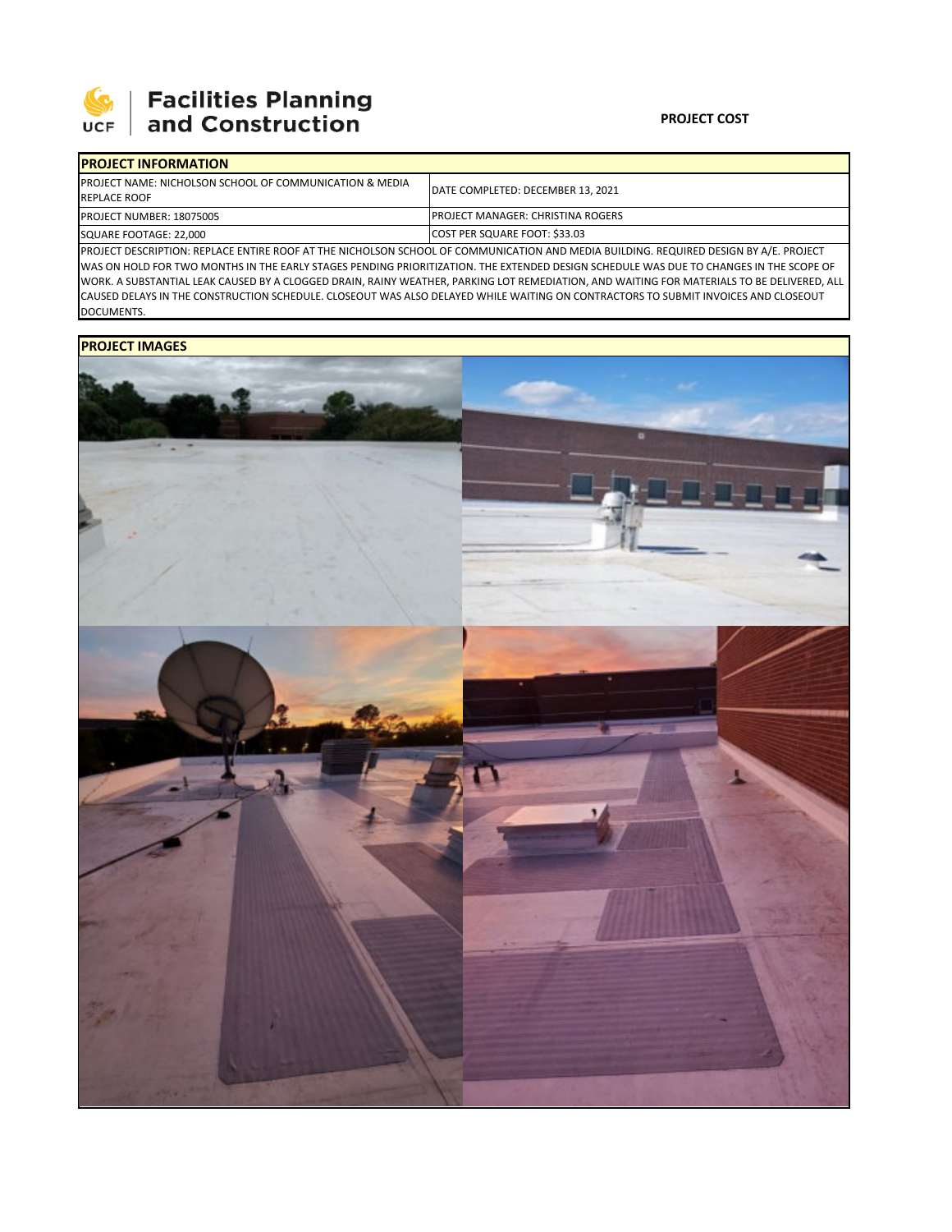

| <b>IPROJECT INFORMATION</b>                                                                                                             |                                           |  |  |  |
|-----------------------------------------------------------------------------------------------------------------------------------------|-------------------------------------------|--|--|--|
| <b>IPROJECT NAME: NICHOLSON SCHOOL OF COMMUNICATION &amp; MEDIA</b><br><b>REPLACE ROOF</b>                                              | DATE COMPLETED: DECEMBER 13, 2021         |  |  |  |
| <b>PROJECT NUMBER: 18075005</b>                                                                                                         | <b>IPROJECT MANAGER: CHRISTINA ROGERS</b> |  |  |  |
| SQUARE FOOTAGE: 22,000                                                                                                                  | <b>COST PER SQUARE FOOT: \$33.03</b>      |  |  |  |
| DED LECT DESCRIPTION: REDIACE ENTIRE ROOF AT THE NICHOLSON SCHOOL OF COMMUNICATION AND MEDIA RUILDING. REQUIRED DESIGN BY A /E. RROIECT |                                           |  |  |  |

PROJECT DESCRIPTION: REPLACE ENTIRE ROOF AT THE NICHOLSON SCHOOL OF COMMUNICATION AND MEDIA BUILDING. REQUIRED DESIGN BY A/E. PROJECT WAS ON HOLD FOR TWO MONTHS IN THE EARLY STAGES PENDING PRIORITIZATION. THE EXTENDED DESIGN SCHEDULE WAS DUE TO CHANGES IN THE SCOPE OF WORK. A SUBSTANTIAL LEAK CAUSED BY A CLOGGED DRAIN, RAINY WEATHER, PARKING LOT REMEDIATION, AND WAITING FOR MATERIALS TO BE DELIVERED, ALL CAUSED DELAYS IN THE CONSTRUCTION SCHEDULE. CLOSEOUT WAS ALSO DELAYED WHILE WAITING ON CONTRACTORS TO SUBMIT INVOICES AND CLOSEOUT DOCUMENTS.